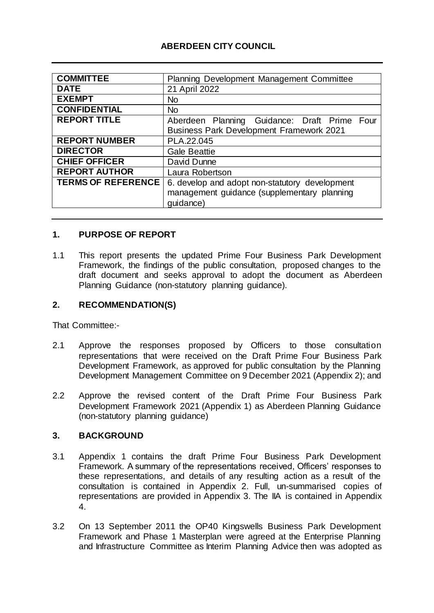# **ABERDEEN CITY COUNCIL**

| <b>COMMITTEE</b>          | Planning Development Management Committee       |  |  |
|---------------------------|-------------------------------------------------|--|--|
| <b>DATE</b>               | 21 April 2022                                   |  |  |
| <b>EXEMPT</b>             | <b>No</b>                                       |  |  |
| <b>CONFIDENTIAL</b>       | <b>No</b>                                       |  |  |
| <b>REPORT TITLE</b>       | Aberdeen Planning Guidance: Draft Prime Four    |  |  |
|                           | <b>Business Park Development Framework 2021</b> |  |  |
| <b>REPORT NUMBER</b>      | PLA.22.045                                      |  |  |
| <b>DIRECTOR</b>           | <b>Gale Beattie</b>                             |  |  |
| <b>CHIEF OFFICER</b>      | David Dunne                                     |  |  |
| <b>REPORT AUTHOR</b>      | Laura Robertson                                 |  |  |
| <b>TERMS OF REFERENCE</b> | 6. develop and adopt non-statutory development  |  |  |
|                           | management guidance (supplementary planning     |  |  |
|                           | quidance)                                       |  |  |

### **1. PURPOSE OF REPORT**

1.1 This report presents the updated Prime Four Business Park Development Framework, the findings of the public consultation, proposed changes to the draft document and seeks approval to adopt the document as Aberdeen Planning Guidance (non-statutory planning guidance).

#### **2. RECOMMENDATION(S)**

That Committee:-

- 2.1 Approve the responses proposed by Officers to those consultation representations that were received on the Draft Prime Four Business Park Development Framework, as approved for public consultation by the Planning Development Management Committee on 9 December 2021 (Appendix 2); and
- 2.2 Approve the revised content of the Draft Prime Four Business Park Development Framework 2021 (Appendix 1) as Aberdeen Planning Guidance (non-statutory planning guidance)

#### **3. BACKGROUND**

- 3.1 Appendix 1 contains the draft Prime Four Business Park Development Framework. A summary of the representations received, Officers' responses to these representations, and details of any resulting action as a result of the consultation is contained in Appendix 2. Full, un-summarised copies of representations are provided in Appendix 3. The IIA is contained in Appendix 4.
- 3.2 On 13 September 2011 the OP40 Kingswells Business Park Development Framework and Phase 1 Masterplan were agreed at the Enterprise Planning and Infrastructure Committee as Interim Planning Advice then was adopted as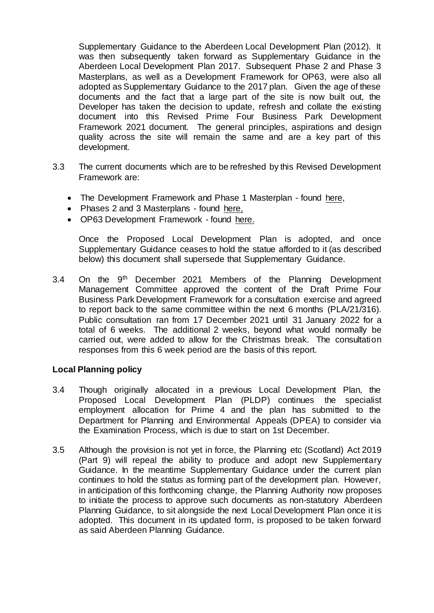Supplementary Guidance to the Aberdeen Local Development Plan (2012). It was then subsequently taken forward as Supplementary Guidance in the Aberdeen Local Development Plan 2017. Subsequent Phase 2 and Phase 3 Masterplans, as well as a Development Framework for OP63, were also all adopted as Supplementary Guidance to the 2017 plan. Given the age of these documents and the fact that a large part of the site is now built out, the Developer has taken the decision to update, refresh and collate the existing document into this Revised Prime Four Business Park Development Framework 2021 document. The general principles, aspirations and design quality across the site will remain the same and are a key part of this development.

- 3.3 The current documents which are to be refreshed by this Revised Development Framework are:
	- The Development Framework and Phase 1 Masterplan found [here,](https://www.aberdeencity.gov.uk/sites/default/files/OP29.Prime4_.DF%26P1.MP_.2017.PP_website.pdf)
	- Phases 2 and 3 Masterplans found [here,](https://www.aberdeencity.gov.uk/sites/default/files/OP29.Prime4_.P2%263.MP_.2017.PP_website.pdf)
	- OP63 Development Framework found [here.](https://www.aberdeencity.gov.uk/sites/default/files/OP63Prime4DevelopFramework052016.pdf)

Once the Proposed Local Development Plan is adopted, and once Supplementary Guidance ceases to hold the statue afforded to it (as described below) this document shall supersede that Supplementary Guidance.

3.4 On the 9th December 2021 Members of the Planning Development Management Committee approved the content of the Draft Prime Four Business Park Development Framework for a consultation exercise and agreed to report back to the same committee within the next 6 months (PLA/21/316). Public consultation ran from 17 December 2021 until 31 January 2022 for a total of 6 weeks. The additional 2 weeks, beyond what would normally be carried out, were added to allow for the Christmas break. The consultation responses from this 6 week period are the basis of this report.

#### **Local Planning policy**

- 3.4 Though originally allocated in a previous Local Development Plan, the Proposed Local Development Plan (PLDP) continues the specialist employment allocation for Prime 4 and the plan has submitted to the Department for Planning and Environmental Appeals (DPEA) to consider via the Examination Process, which is due to start on 1st December.
- 3.5 Although the provision is not yet in force, the Planning etc (Scotland) Act 2019 (Part 9) will repeal the ability to produce and adopt new Supplementary Guidance. In the meantime Supplementary Guidance under the current plan continues to hold the status as forming part of the development plan. However, in anticipation of this forthcoming change, the Planning Authority now proposes to initiate the process to approve such documents as non-statutory Aberdeen Planning Guidance, to sit alongside the next Local Development Plan once it is adopted. This document in its updated form, is proposed to be taken forward as said Aberdeen Planning Guidance.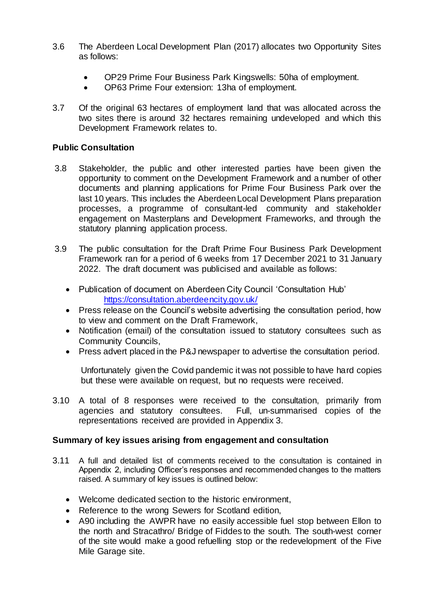- 3.6 The Aberdeen Local Development Plan (2017) allocates two Opportunity Sites as follows:
	- OP29 Prime Four Business Park Kingswells: 50ha of employment.
	- OP63 Prime Four extension: 13ha of employment.
- 3.7 Of the original 63 hectares of employment land that was allocated across the two sites there is around 32 hectares remaining undeveloped and which this Development Framework relates to.

# **Public Consultation**

- 3.8 Stakeholder, the public and other interested parties have been given the opportunity to comment on the Development Framework and a number of other documents and planning applications for Prime Four Business Park over the last 10 years. This includes the Aberdeen Local Development Plans preparation processes, a programme of consultant-led community and stakeholder engagement on Masterplans and Development Frameworks, and through the statutory planning application process.
- 3.9 The public consultation for the Draft Prime Four Business Park Development Framework ran for a period of 6 weeks from 17 December 2021 to 31 January 2022. The draft document was publicised and available as follows:
	- Publication of document on Aberdeen City Council 'Consultation Hub' <https://consultation.aberdeencity.gov.uk/>
	- Press release on the Council's website advertising the consultation period, how to view and comment on the Draft Framework,
	- Notification (email) of the consultation issued to statutory consultees such as Community Councils,
	- Press advert placed in the P&J newspaper to advertise the consultation period.

Unfortunately given the Covid pandemic it was not possible to have hard copies but these were available on request, but no requests were received.

3.10 A total of 8 responses were received to the consultation, primarily from agencies and statutory consultees. Full, un-summarised copies of the representations received are provided in Appendix 3.

# **Summary of key issues arising from engagement and consultation**

- 3.11 A full and detailed list of comments received to the consultation is contained in Appendix 2, including Officer's responses and recommended changes to the matters raised. A summary of key issues is outlined below:
	- Welcome dedicated section to the historic environment,
	- Reference to the wrong Sewers for Scotland edition,
	- A90 including the AWPR have no easily accessible fuel stop between Ellon to the north and Stracathro/ Bridge of Fiddes to the south. The south-west corner of the site would make a good refuelling stop or the redevelopment of the Five Mile Garage site.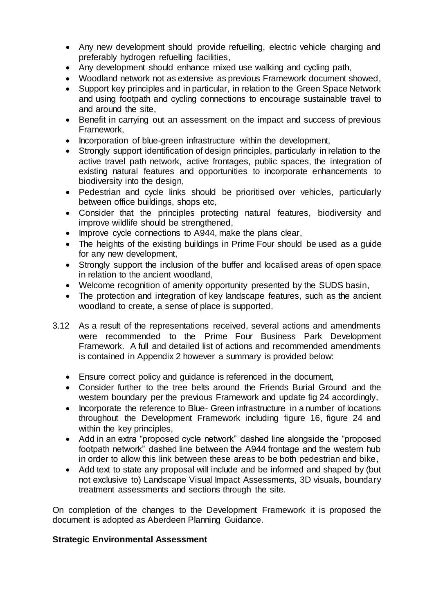- Any new development should provide refuelling, electric vehicle charging and preferably hydrogen refuelling facilities,
- Any development should enhance mixed use walking and cycling path,
- Woodland network not as extensive as previous Framework document showed,
- Support key principles and in particular, in relation to the Green Space Network and using footpath and cycling connections to encourage sustainable travel to and around the site,
- Benefit in carrying out an assessment on the impact and success of previous Framework,
- Incorporation of blue-green infrastructure within the development,
- Strongly support identification of design principles, particularly in relation to the active travel path network, active frontages, public spaces, the integration of existing natural features and opportunities to incorporate enhancements to biodiversity into the design,
- Pedestrian and cycle links should be prioritised over vehicles, particularly between office buildings, shops etc,
- Consider that the principles protecting natural features, biodiversity and improve wildlife should be strengthened,
- Improve cycle connections to A944, make the plans clear,
- The heights of the existing buildings in Prime Four should be used as a guide for any new development,
- Strongly support the inclusion of the buffer and localised areas of open space in relation to the ancient woodland,
- Welcome recognition of amenity opportunity presented by the SUDS basin,
- The protection and integration of key landscape features, such as the ancient woodland to create, a sense of place is supported.
- 3.12 As a result of the representations received, several actions and amendments were recommended to the Prime Four Business Park Development Framework. A full and detailed list of actions and recommended amendments is contained in Appendix 2 however a summary is provided below:
	- Ensure correct policy and guidance is referenced in the document,
	- Consider further to the tree belts around the Friends Burial Ground and the western boundary per the previous Framework and update fig 24 accordingly,
	- Incorporate the reference to Blue- Green infrastructure in a number of locations throughout the Development Framework including figure 16, figure 24 and within the key principles,
	- Add in an extra "proposed cycle network" dashed line alongside the "proposed footpath network" dashed line between the A944 frontage and the western hub in order to allow this link between these areas to be both pedestrian and bike,
	- Add text to state any proposal will include and be informed and shaped by (but not exclusive to) Landscape Visual Impact Assessments, 3D visuals, boundary treatment assessments and sections through the site.

On completion of the changes to the Development Framework it is proposed the document is adopted as Aberdeen Planning Guidance.

#### **Strategic Environmental Assessment**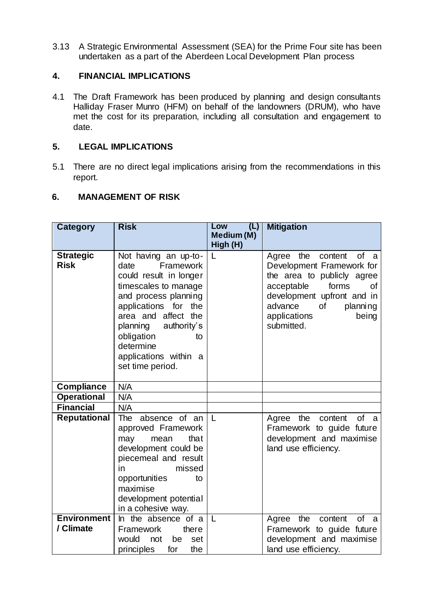3.13 A Strategic Environmental Assessment (SEA) for the Prime Four site has been undertaken as a part of the Aberdeen Local Development Plan process

### **4. FINANCIAL IMPLICATIONS**

4.1 The Draft Framework has been produced by planning and design consultants Halliday Fraser Munro (HFM) on behalf of the landowners (DRUM), who have met the cost for its preparation, including all consultation and engagement to date.

### **5. LEGAL IMPLICATIONS**

5.1 There are no direct legal implications arising from the recommendations in this report.

### **6. MANAGEMENT OF RISK**

| <b>Category</b>     | <b>Risk</b>                                    | (L)<br>Low    | <b>Mitigation</b>                                  |
|---------------------|------------------------------------------------|---------------|----------------------------------------------------|
|                     |                                                | Medium (M)    |                                                    |
| <b>Strategic</b>    | Not having an up-to-                           | High (H)<br>L | Agree the<br>of a<br>content                       |
| <b>Risk</b>         | Framework<br>date                              |               | Development Framework for                          |
|                     | could result in longer                         |               | the area to publicly agree                         |
|                     | timescales to manage                           |               | acceptable<br>forms<br>οf                          |
|                     | and process planning                           |               | development upfront and in                         |
|                     | applications for<br>the<br>area and affect the |               | advance<br>of<br>planning<br>applications<br>being |
|                     | authority's<br>planning                        |               | submitted.                                         |
|                     | obligation<br>to                               |               |                                                    |
|                     | determine                                      |               |                                                    |
|                     | applications within a                          |               |                                                    |
|                     | set time period.                               |               |                                                    |
| <b>Compliance</b>   | N/A                                            |               |                                                    |
| <b>Operational</b>  | N/A                                            |               |                                                    |
| <b>Financial</b>    | N/A                                            |               |                                                    |
| <b>Reputational</b> | The<br>absence of an                           | L             | the<br>content<br>of a<br>Agree                    |
|                     | approved Framework                             |               | Framework to guide future                          |
|                     | that<br>mean<br>may<br>development could be    |               | development and maximise<br>land use efficiency.   |
|                     | piecemeal and result                           |               |                                                    |
|                     | missed<br>in                                   |               |                                                    |
|                     | opportunities<br>to                            |               |                                                    |
|                     | maximise                                       |               |                                                    |
|                     | development potential<br>in a cohesive way.    |               |                                                    |
| <b>Environment</b>  | In the absence of a                            | $\mathsf{L}$  | content<br>of a<br>the<br>Agree                    |
| / Climate           | there<br>Framework                             |               | Framework to guide future                          |
|                     | would<br>not<br>be<br>set                      |               | development and maximise                           |
|                     | the<br>principles<br>for                       |               | land use efficiency.                               |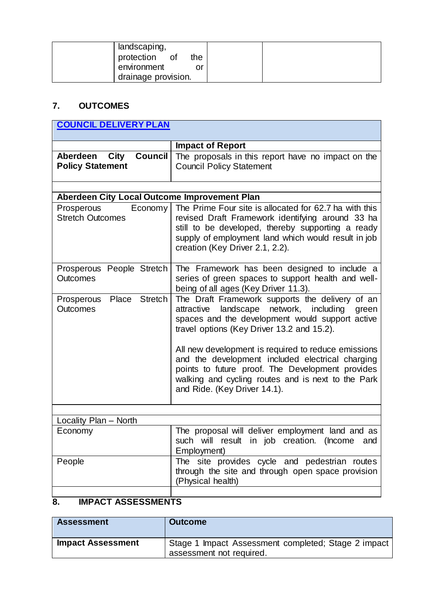| landscaping,<br>protection of<br>the<br>environment |  |
|-----------------------------------------------------|--|
| drainage provision.                                 |  |

# **7. OUTCOMES**

| <b>COUNCIL DELIVERY PLAN</b>                               |                                                                                                                                                                                                                                                                                                                                                                                                                              |  |
|------------------------------------------------------------|------------------------------------------------------------------------------------------------------------------------------------------------------------------------------------------------------------------------------------------------------------------------------------------------------------------------------------------------------------------------------------------------------------------------------|--|
|                                                            |                                                                                                                                                                                                                                                                                                                                                                                                                              |  |
|                                                            | <b>Impact of Report</b>                                                                                                                                                                                                                                                                                                                                                                                                      |  |
| <b>Council</b><br>Aberdeen City<br><b>Policy Statement</b> | The proposals in this report have no impact on the<br><b>Council Policy Statement</b>                                                                                                                                                                                                                                                                                                                                        |  |
|                                                            |                                                                                                                                                                                                                                                                                                                                                                                                                              |  |
| Aberdeen City Local Outcome Improvement Plan               |                                                                                                                                                                                                                                                                                                                                                                                                                              |  |
| Prosperous<br>Economy<br><b>Stretch Outcomes</b>           | The Prime Four site is allocated for 62.7 ha with this<br>revised Draft Framework identifying around 33 ha<br>still to be developed, thereby supporting a ready<br>supply of employment land which would result in job<br>creation (Key Driver 2.1, 2.2).                                                                                                                                                                    |  |
| Prosperous People Stretch<br><b>Outcomes</b>               | The Framework has been designed to include a<br>series of green spaces to support health and well-<br>being of all ages (Key Driver 11.3).                                                                                                                                                                                                                                                                                   |  |
| Place Stretch<br>Prosperous<br><b>Outcomes</b>             | The Draft Framework supports the delivery of an<br>landscape network, including<br>attractive<br>green<br>spaces and the development would support active<br>travel options (Key Driver 13.2 and 15.2).<br>All new development is required to reduce emissions<br>and the development included electrical charging<br>points to future proof. The Development provides<br>walking and cycling routes and is next to the Park |  |
|                                                            | and Ride. (Key Driver 14.1).                                                                                                                                                                                                                                                                                                                                                                                                 |  |
|                                                            |                                                                                                                                                                                                                                                                                                                                                                                                                              |  |
| Locality Plan - North                                      |                                                                                                                                                                                                                                                                                                                                                                                                                              |  |
| Economy                                                    | The proposal will deliver employment land and as<br>such will result in job creation. (Income<br>and<br>Employment)                                                                                                                                                                                                                                                                                                          |  |
| People                                                     | The site provides cycle and pedestrian routes<br>through the site and through open space provision<br>(Physical health)                                                                                                                                                                                                                                                                                                      |  |
|                                                            |                                                                                                                                                                                                                                                                                                                                                                                                                              |  |

# **8. IMPACT ASSESSMENTS**

| <b>Assessment</b>        | <b>Outcome</b>                                                                  |
|--------------------------|---------------------------------------------------------------------------------|
| <b>Impact Assessment</b> | Stage 1 Impact Assessment completed; Stage 2 impact<br>assessment not required. |